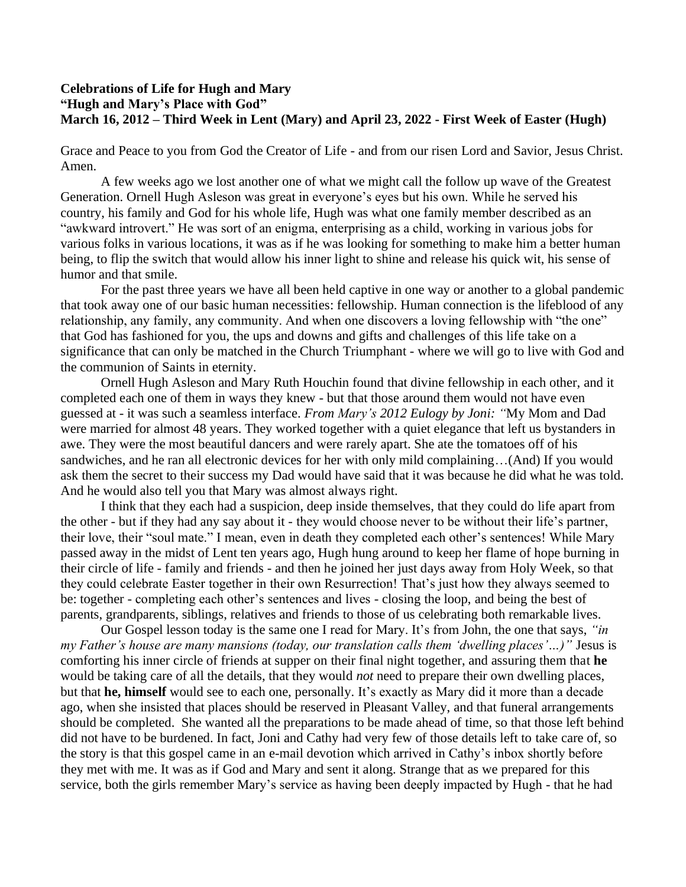## **Celebrations of Life for Hugh and Mary "Hugh and Mary's Place with God" March 16, 2012 – Third Week in Lent (Mary) and April 23, 2022 - First Week of Easter (Hugh)**

Grace and Peace to you from God the Creator of Life - and from our risen Lord and Savior, Jesus Christ. Amen.

A few weeks ago we lost another one of what we might call the follow up wave of the Greatest Generation. Ornell Hugh Asleson was great in everyone's eyes but his own. While he served his country, his family and God for his whole life, Hugh was what one family member described as an "awkward introvert." He was sort of an enigma, enterprising as a child, working in various jobs for various folks in various locations, it was as if he was looking for something to make him a better human being, to flip the switch that would allow his inner light to shine and release his quick wit, his sense of humor and that smile.

For the past three years we have all been held captive in one way or another to a global pandemic that took away one of our basic human necessities: fellowship. Human connection is the lifeblood of any relationship, any family, any community. And when one discovers a loving fellowship with "the one" that God has fashioned for you, the ups and downs and gifts and challenges of this life take on a significance that can only be matched in the Church Triumphant - where we will go to live with God and the communion of Saints in eternity.

Ornell Hugh Asleson and Mary Ruth Houchin found that divine fellowship in each other, and it completed each one of them in ways they knew - but that those around them would not have even guessed at - it was such a seamless interface. *From Mary's 2012 Eulogy by Joni: "*My Mom and Dad were married for almost 48 years. They worked together with a quiet elegance that left us bystanders in awe. They were the most beautiful dancers and were rarely apart. She ate the tomatoes off of his sandwiches, and he ran all electronic devices for her with only mild complaining…(And) If you would ask them the secret to their success my Dad would have said that it was because he did what he was told. And he would also tell you that Mary was almost always right.

I think that they each had a suspicion, deep inside themselves, that they could do life apart from the other - but if they had any say about it - they would choose never to be without their life's partner, their love, their "soul mate." I mean, even in death they completed each other's sentences! While Mary passed away in the midst of Lent ten years ago, Hugh hung around to keep her flame of hope burning in their circle of life - family and friends - and then he joined her just days away from Holy Week, so that they could celebrate Easter together in their own Resurrection! That's just how they always seemed to be: together - completing each other's sentences and lives - closing the loop, and being the best of parents, grandparents, siblings, relatives and friends to those of us celebrating both remarkable lives.

Our Gospel lesson today is the same one I read for Mary. It's from John, the one that says, *"in my Father's house are many mansions (today, our translation calls them 'dwelling places'...)*" Jesus is comforting his inner circle of friends at supper on their final night together, and assuring them that **he** would be taking care of all the details, that they would *not* need to prepare their own dwelling places, but that **he, himself** would see to each one, personally. It's exactly as Mary did it more than a decade ago, when she insisted that places should be reserved in Pleasant Valley, and that funeral arrangements should be completed. She wanted all the preparations to be made ahead of time, so that those left behind did not have to be burdened. In fact, Joni and Cathy had very few of those details left to take care of, so the story is that this gospel came in an e-mail devotion which arrived in Cathy's inbox shortly before they met with me. It was as if God and Mary and sent it along. Strange that as we prepared for this service, both the girls remember Mary's service as having been deeply impacted by Hugh - that he had